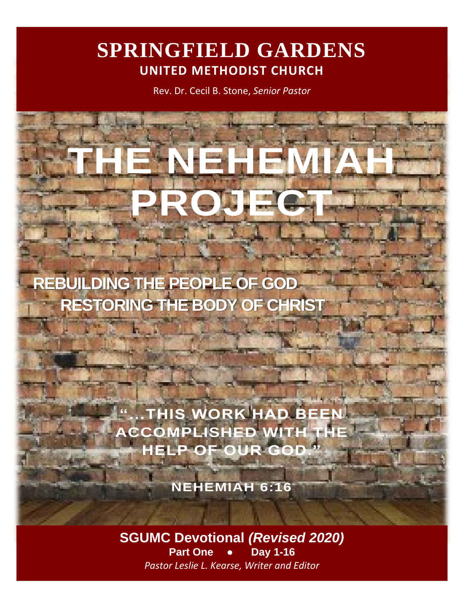# **SPRINGFIELD GARDENS UNITED METHODIST CHURCH**

Rev. Dr. Cecil B. Stone, *Senior Pastor*

**THE NEHEMIAH** 

**PROJECT**

 **REBUILDING THE PEOPLE OF GOD RESTORING THE BODY OF CHRIST**

> **"…THIS WORK HAD BEEN ACCOMPLISHED WITH HELP OF OUR GOD."**

> > **NEHEMIAH 6:16**

**SGUMC Devotional** *(Revised 2020)* **Part One ● Day 1-16** *Pastor Leslie L. Kearse, Writer and Editor*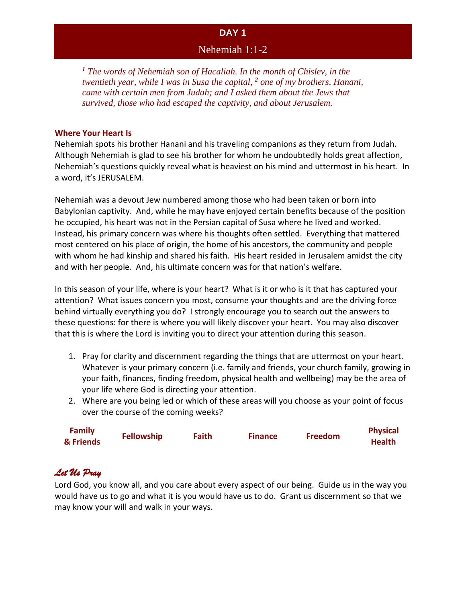### Nehemiah 1:1-2

*<sup>1</sup> The words of Nehemiah son of Hacaliah. In the month of Chislev, in the twentieth year, while I was in Susa the capital, <sup>2</sup> one of my brothers, Hanani, came with certain men from Judah; and I asked them about the Jews that survived, those who had escaped the captivity, and about Jerusalem.* 

#### **Where Your Heart Is**

Nehemiah spots his brother Hanani and his traveling companions as they return from Judah. Although Nehemiah is glad to see his brother for whom he undoubtedly holds great affection, Nehemiah's questions quickly reveal what is heaviest on his mind and uttermost in his heart. In a word, it's JERUSALEM.

Nehemiah was a devout Jew numbered among those who had been taken or born into Babylonian captivity. And, while he may have enjoyed certain benefits because of the position he occupied, his heart was not in the Persian capital of Susa where he lived and worked. Instead, his primary concern was where his thoughts often settled. Everything that mattered most centered on his place of origin, the home of his ancestors, the community and people with whom he had kinship and shared his faith. His heart resided in Jerusalem amidst the city and with her people. And, his ultimate concern was for that nation's welfare.

In this season of your life, where is your heart? What is it or who is it that has captured your attention? What issues concern you most, consume your thoughts and are the driving force behind virtually everything you do? I strongly encourage you to search out the answers to these questions: for there is where you will likely discover your heart. You may also discover that this is where the Lord is inviting you to direct your attention during this season.

- 1. Pray for clarity and discernment regarding the things that are uttermost on your heart. Whatever is your primary concern (i.e. family and friends, your church family, growing in your faith, finances, finding freedom, physical health and wellbeing) may be the area of your life where God is directing your attention.
- 2. Where are you being led or which of these areas will you choose as your point of focus over the course of the coming weeks?

| <b>Family</b><br>& Friends | <b>Fellowship</b> | Faith | <b>Finance</b> | <b>Freedom</b> | <b>Physical</b><br><b>Health</b> |
|----------------------------|-------------------|-------|----------------|----------------|----------------------------------|
|                            |                   |       |                |                |                                  |

# *Let Us Pray*

Lord God, you know all, and you care about every aspect of our being. Guide us in the way you would have us to go and what it is you would have us to do. Grant us discernment so that we may know your will and walk in your ways.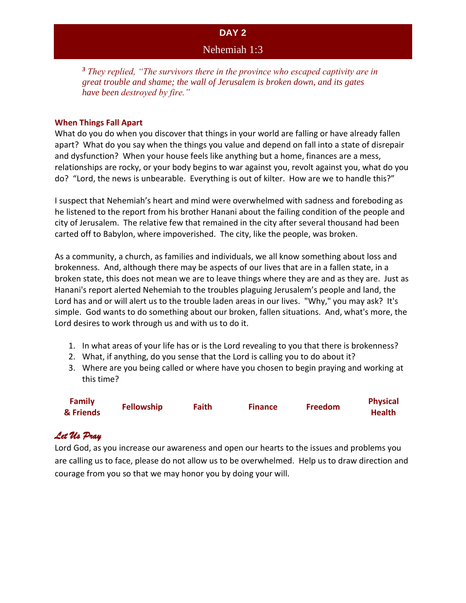### Nehemiah 1:3

*<sup>3</sup> They replied, "The survivors there in the province who escaped captivity are in great trouble and shame; the wall of Jerusalem is broken down, and its gates have been destroyed by fire."*

#### **When Things Fall Apart**

What do you do when you discover that things in your world are falling or have already fallen apart? What do you say when the things you value and depend on fall into a state of disrepair and dysfunction? When your house feels like anything but a home, finances are a mess, relationships are rocky, or your body begins to war against you, revolt against you, what do you do? "Lord, the news is unbearable. Everything is out of kilter. How are we to handle this?"

I suspect that Nehemiah's heart and mind were overwhelmed with sadness and foreboding as he listened to the report from his brother Hanani about the failing condition of the people and city of Jerusalem. The relative few that remained in the city after several thousand had been carted off to Babylon, where impoverished. The city, like the people, was broken.

As a community, a church, as families and individuals, we all know something about loss and brokenness. And, although there may be aspects of our lives that are in a fallen state, in a broken state, this does not mean we are to leave things where they are and as they are. Just as Hanani's report alerted Nehemiah to the troubles plaguing Jerusalem's people and land, the Lord has and or will alert us to the trouble laden areas in our lives. "Why," you may ask? It's simple. God wants to do something about our broken, fallen situations. And, what's more, the Lord desires to work through us and with us to do it.

- 1. In what areas of your life has or is the Lord revealing to you that there is brokenness?
- 2. What, if anything, do you sense that the Lord is calling you to do about it?
- 3. Where are you being called or where have you chosen to begin praying and working at this time?

| <b>Family</b> |                   |              |                |                | <b>Physical</b> |
|---------------|-------------------|--------------|----------------|----------------|-----------------|
| & Friends     | <b>Fellowship</b> | <b>Faith</b> | <b>Finance</b> | <b>Freedom</b> | <b>Health</b>   |

# *Let Us Pray*

Lord God, as you increase our awareness and open our hearts to the issues and problems you are calling us to face, please do not allow us to be overwhelmed. Help us to draw direction and courage from you so that we may honor you by doing your will.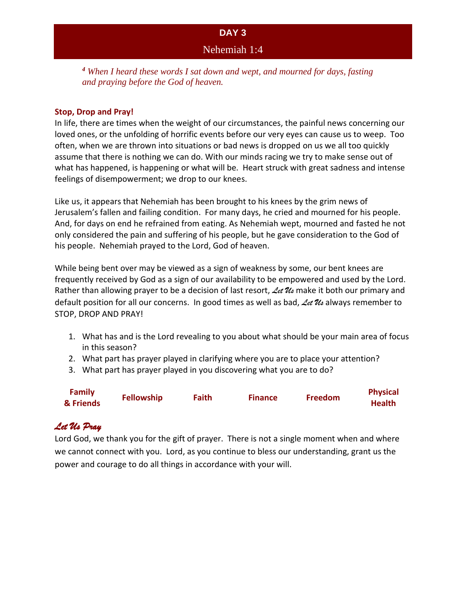Nehemiah 1:4

*<sup>4</sup> When I heard these words I sat down and wept, and mourned for days, fasting and praying before the God of heaven.*

#### **Stop, Drop and Pray!**

In life, there are times when the weight of our circumstances, the painful news concerning our loved ones, or the unfolding of horrific events before our very eyes can cause us to weep. Too often, when we are thrown into situations or bad news is dropped on us we all too quickly assume that there is nothing we can do. With our minds racing we try to make sense out of what has happened, is happening or what will be. Heart struck with great sadness and intense feelings of disempowerment; we drop to our knees.

Like us, it appears that Nehemiah has been brought to his knees by the grim news of Jerusalem's fallen and failing condition. For many days, he cried and mourned for his people. And, for days on end he refrained from eating. As Nehemiah wept, mourned and fasted he not only considered the pain and suffering of his people, but he gave consideration to the God of his people. Nehemiah prayed to the Lord, God of heaven.

While being bent over may be viewed as a sign of weakness by some, our bent knees are frequently received by God as a sign of our availability to be empowered and used by the Lord. Rather than allowing prayer to be a decision of last resort, *Let Us* make it both our primary and default position for all our concerns. In good times as well as bad, *Let Us* always remember to STOP, DROP AND PRAY!

- 1. What has and is the Lord revealing to you about what should be your main area of focus in this season?
- 2. What part has prayer played in clarifying where you are to place your attention?
- 3. What part has prayer played in you discovering what you are to do?

| <b>Family</b> | <b>Fellowship</b> | <b>Faith</b> | <b>Finance</b> | <b>Freedom</b> | <b>Physical</b> |
|---------------|-------------------|--------------|----------------|----------------|-----------------|
| & Friends     |                   |              |                |                | <b>Health</b>   |

# *Let Us Pray*

Lord God, we thank you for the gift of prayer. There is not a single moment when and where we cannot connect with you. Lord, as you continue to bless our understanding, grant us the power and courage to do all things in accordance with your will.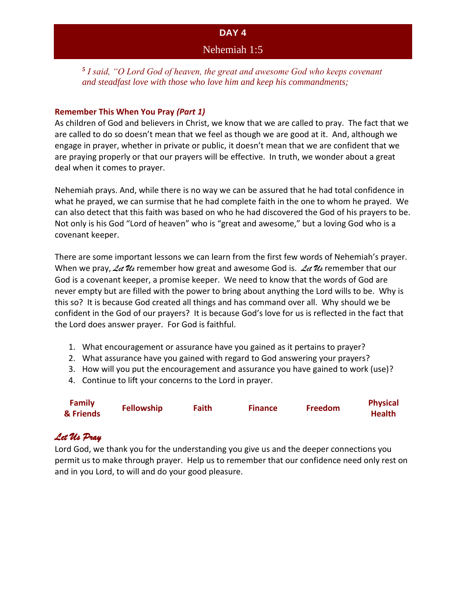*5 I said, "O Lord God of heaven, the great and awesome God who keeps covenant and steadfast love with those who love him and keep his commandments;*

#### **Remember This When You Pray** *(Part 1)*

As children of God and believers in Christ, we know that we are called to pray. The fact that we are called to do so doesn't mean that we feel as though we are good at it. And, although we engage in prayer, whether in private or public, it doesn't mean that we are confident that we are praying properly or that our prayers will be effective. In truth, we wonder about a great deal when it comes to prayer.

Nehemiah prays. And, while there is no way we can be assured that he had total confidence in what he prayed, we can surmise that he had complete faith in the one to whom he prayed. We can also detect that this faith was based on who he had discovered the God of his prayers to be. Not only is his God "Lord of heaven" who is "great and awesome," but a loving God who is a covenant keeper.

There are some important lessons we can learn from the first few words of Nehemiah's prayer. When we pray, Let  $\mathcal{U}_s$  remember how great and awesome God is. Let  $\mathcal{U}_s$  remember that our God is a covenant keeper, a promise keeper. We need to know that the words of God are never empty but are filled with the power to bring about anything the Lord wills to be. Why is this so? It is because God created all things and has command over all. Why should we be confident in the God of our prayers? It is because God's love for us is reflected in the fact that the Lord does answer prayer. For God is faithful.

- 1. What encouragement or assurance have you gained as it pertains to prayer?
- 2. What assurance have you gained with regard to God answering your prayers?
- 3. How will you put the encouragement and assurance you have gained to work (use)?
- 4. Continue to lift your concerns to the Lord in prayer.

| <b>Family</b> | <b>Fellowship</b> | <b>Faith</b> | <b>Finance</b> | <b>Freedom</b> | <b>Physical</b> |
|---------------|-------------------|--------------|----------------|----------------|-----------------|
| & Friends     |                   |              |                |                | <b>Health</b>   |

# *Let Us Pray*

Lord God, we thank you for the understanding you give us and the deeper connections you permit us to make through prayer. Help us to remember that our confidence need only rest on and in you Lord, to will and do your good pleasure.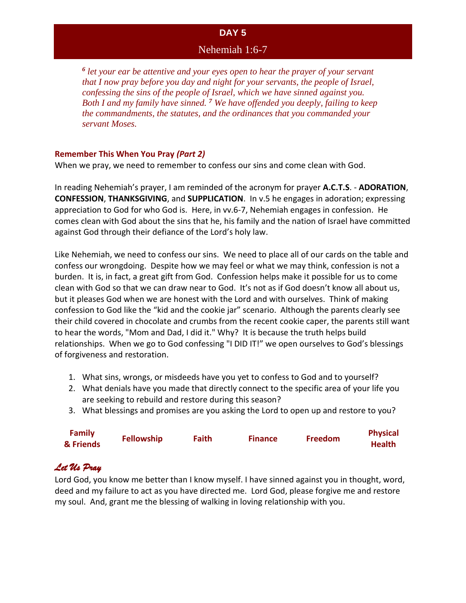### Nehemiah 1:6-7

*6 let your ear be attentive and your eyes open to hear the prayer of your servant that I now pray before you day and night for your servants, the people of Israel, confessing the sins of the people of Israel, which we have sinned against you. Both I and my family have sinned. <sup>7</sup> We have offended you deeply, failing to keep the commandments, the statutes, and the ordinances that you commanded your servant Moses.* 

#### **Remember This When You Pray** *(Part 2)*

When we pray, we need to remember to confess our sins and come clean with God.

In reading Nehemiah's prayer, I am reminded of the acronym for prayer **A.C.T.S**. - **ADORATION**, **CONFESSION**, **THANKSGIVING**, and **SUPPLICATION**. In v.5 he engages in adoration; expressing appreciation to God for who God is. Here, in vv.6-7, Nehemiah engages in confession. He comes clean with God about the sins that he, his family and the nation of Israel have committed against God through their defiance of the Lord's holy law.

Like Nehemiah, we need to confess our sins. We need to place all of our cards on the table and confess our wrongdoing. Despite how we may feel or what we may think, confession is not a burden. It is, in fact, a great gift from God. Confession helps make it possible for us to come clean with God so that we can draw near to God. It's not as if God doesn't know all about us, but it pleases God when we are honest with the Lord and with ourselves. Think of making confession to God like the "kid and the cookie jar" scenario. Although the parents clearly see their child covered in chocolate and crumbs from the recent cookie caper, the parents still want to hear the words, "Mom and Dad, I did it." Why? It is because the truth helps build relationships. When we go to God confessing "I DID IT!" we open ourselves to God's blessings of forgiveness and restoration.

- 1. What sins, wrongs, or misdeeds have you yet to confess to God and to yourself?
- 2. What denials have you made that directly connect to the specific area of your life you are seeking to rebuild and restore during this season?
- 3. What blessings and promises are you asking the Lord to open up and restore to you?

| <b>Family</b><br>& Friends | <b>Fellowship</b> | Faith | <b>Finance</b> | <b>Freedom</b> | <b>Physical</b><br><b>Health</b> |
|----------------------------|-------------------|-------|----------------|----------------|----------------------------------|
|                            |                   |       |                |                |                                  |

### *Let Us Pray*

Lord God, you know me better than I know myself. I have sinned against you in thought, word, deed and my failure to act as you have directed me. Lord God, please forgive me and restore my soul. And, grant me the blessing of walking in loving relationship with you.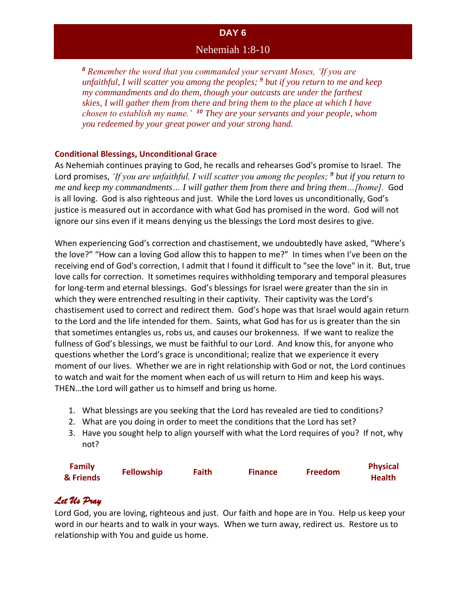#### Nehemiah 1:8-10

*<sup>8</sup> Remember the word that you commanded your servant Moses, 'If you are unfaithful, I will scatter you among the peoples; <sup>9</sup> but if you return to me and keep my commandments and do them, though your outcasts are under the farthest skies, I will gather them from there and bring them to the place at which I have chosen to establish my name.' <sup>10</sup> They are your servants and your people, whom you redeemed by your great power and your strong hand.*

#### **Conditional Blessings, Unconditional Grace**

As Nehemiah continues praying to God, he recalls and rehearses God's promise to Israel. The Lord promises, *'If you are unfaithful, I will scatter you among the peoples; <sup>9</sup> but if you return to me and keep my commandments… I will gather them from there and bring them…[home].* God is all loving. God is also righteous and just. While the Lord loves us unconditionally, God's justice is measured out in accordance with what God has promised in the word. God will not ignore our sins even if it means denying us the blessings the Lord most desires to give.

When experiencing God's correction and chastisement, we undoubtedly have asked, "Where's the love?" "How can a loving God allow this to happen to me?" In times when I've been on the receiving end of God's correction, I admit that I found it difficult to "see the love" in it. But, true love calls for correction. It sometimes requires withholding temporary and temporal pleasures for long-term and eternal blessings. God's blessings for Israel were greater than the sin in which they were entrenched resulting in their captivity. Their captivity was the Lord's chastisement used to correct and redirect them. God's hope was that Israel would again return to the Lord and the life intended for them. Saints, what God has for us is greater than the sin that sometimes entangles us, robs us, and causes our brokenness. If we want to realize the fullness of God's blessings, we must be faithful to our Lord. And know this, for anyone who questions whether the Lord's grace is unconditional; realize that we experience it every moment of our lives. Whether we are in right relationship with God or not, the Lord continues to watch and wait for the moment when each of us will return to Him and keep his ways. THEN…the Lord will gather us to himself and bring us home.

- 1. What blessings are you seeking that the Lord has revealed are tied to conditions?
- 2. What are you doing in order to meet the conditions that the Lord has set?
- 3. Have you sought help to align yourself with what the Lord requires of you? If not, why not?

| <b>Family</b> | <b>Fellowship</b> | Faith | <b>Finance</b> | <b>Freedom</b> | <b>Physical</b> |
|---------------|-------------------|-------|----------------|----------------|-----------------|
| & Friends     |                   |       |                |                | <b>Health</b>   |

# *Let Us Pray*

Lord God, you are loving, righteous and just. Our faith and hope are in You. Help us keep your word in our hearts and to walk in your ways. When we turn away, redirect us. Restore us to relationship with You and guide us home.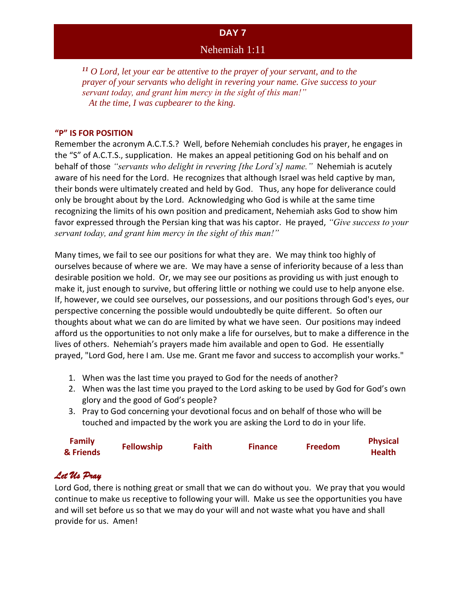### Nehemiah 1:11

*<sup>11</sup> O Lord, let your ear be attentive to the prayer of your servant, and to the prayer of your servants who delight in revering your name. Give success to your servant today, and grant him mercy in the sight of this man!" At the time, I was cupbearer to the king.*

#### **"P" IS FOR POSITION**

Remember the acronym A.C.T.S.? Well, before Nehemiah concludes his prayer, he engages in the "S" of A.C.T.S., supplication. He makes an appeal petitioning God on his behalf and on behalf of those *"servants who delight in revering [the Lord's] name."* Nehemiah is acutely aware of his need for the Lord. He recognizes that although Israel was held captive by man, their bonds were ultimately created and held by God. Thus, any hope for deliverance could only be brought about by the Lord. Acknowledging who God is while at the same time recognizing the limits of his own position and predicament, Nehemiah asks God to show him favor expressed through the Persian king that was his captor. He prayed, *"Give success to your servant today, and grant him mercy in the sight of this man!"*

Many times, we fail to see our positions for what they are. We may think too highly of ourselves because of where we are. We may have a sense of inferiority because of a less than desirable position we hold. Or, we may see our positions as providing us with just enough to make it, just enough to survive, but offering little or nothing we could use to help anyone else. If, however, we could see ourselves, our possessions, and our positions through God's eyes, our perspective concerning the possible would undoubtedly be quite different. So often our thoughts about what we can do are limited by what we have seen. Our positions may indeed afford us the opportunities to not only make a life for ourselves, but to make a difference in the lives of others. Nehemiah's prayers made him available and open to God. He essentially prayed, "Lord God, here I am. Use me. Grant me favor and success to accomplish your works."

- 1. When was the last time you prayed to God for the needs of another?
- 2. When was the last time you prayed to the Lord asking to be used by God for God's own glory and the good of God's people?
- 3. Pray to God concerning your devotional focus and on behalf of those who will be touched and impacted by the work you are asking the Lord to do in your life.

| <b>Family</b> | <b>Fellowship</b> | Faith | <b>Finance</b> | <b>Freedom</b> | <b>Physical</b> |
|---------------|-------------------|-------|----------------|----------------|-----------------|
| & Friends     |                   |       |                |                | <b>Health</b>   |

# *Let Us Pray*

Lord God, there is nothing great or small that we can do without you. We pray that you would continue to make us receptive to following your will. Make us see the opportunities you have and will set before us so that we may do your will and not waste what you have and shall provide for us. Amen!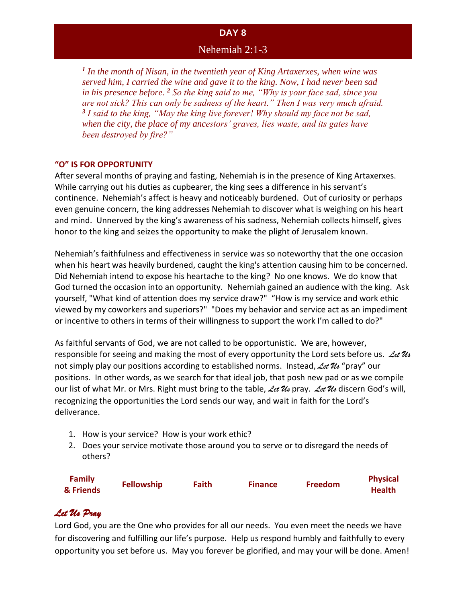### Nehemiah 2:1-3

*1 In the month of Nisan, in the twentieth year of King Artaxerxes, when wine was served him, I carried the wine and gave it to the king. Now, I had never been sad in his presence before. <sup>2</sup> So the king said to me, "Why is your face sad, since you are not sick? This can only be sadness of the heart." Then I was very much afraid. 3 I said to the king, "May the king live forever! Why should my face not be sad, when the city, the place of my ancestors' graves, lies waste, and its gates have been destroyed by fire?"* 

#### **"O" IS FOR OPPORTUNITY**

After several months of praying and fasting, Nehemiah is in the presence of King Artaxerxes. While carrying out his duties as cupbearer, the king sees a difference in his servant's continence. Nehemiah's affect is heavy and noticeably burdened. Out of curiosity or perhaps even genuine concern, the king addresses Nehemiah to discover what is weighing on his heart and mind. Unnerved by the king's awareness of his sadness, Nehemiah collects himself, gives honor to the king and seizes the opportunity to make the plight of Jerusalem known.

Nehemiah's faithfulness and effectiveness in service was so noteworthy that the one occasion when his heart was heavily burdened, caught the king's attention causing him to be concerned. Did Nehemiah intend to expose his heartache to the king? No one knows. We do know that God turned the occasion into an opportunity. Nehemiah gained an audience with the king. Ask yourself, "What kind of attention does my service draw?" "How is my service and work ethic viewed by my coworkers and superiors?" "Does my behavior and service act as an impediment or incentive to others in terms of their willingness to support the work I'm called to do?"

As faithful servants of God, we are not called to be opportunistic. We are, however, responsible for seeing and making the most of every opportunity the Lord sets before us. *Let Us* not simply play our positions according to established norms. Instead, *Let Us* "pray" our positions. In other words, as we search for that ideal job, that posh new pad or as we compile our list of what Mr. or Mrs. Right must bring to the table, *Let Us* pray. *Let Us* discern God's will, recognizing the opportunities the Lord sends our way, and wait in faith for the Lord's deliverance.

- 1. How is your service? How is your work ethic?
- 2. Does your service motivate those around you to serve or to disregard the needs of others?

| <b>Family</b><br>& Friends | <b>Fellowship</b> | <b>Faith</b> | <b>Finance</b> | <b>Freedom</b> | <b>Physical</b><br><b>Health</b> |
|----------------------------|-------------------|--------------|----------------|----------------|----------------------------------|
|                            |                   |              |                |                |                                  |

# *Let Us Pray*

Lord God, you are the One who provides for all our needs. You even meet the needs we have for discovering and fulfilling our life's purpose. Help us respond humbly and faithfully to every opportunity you set before us. May you forever be glorified, and may your will be done. Amen!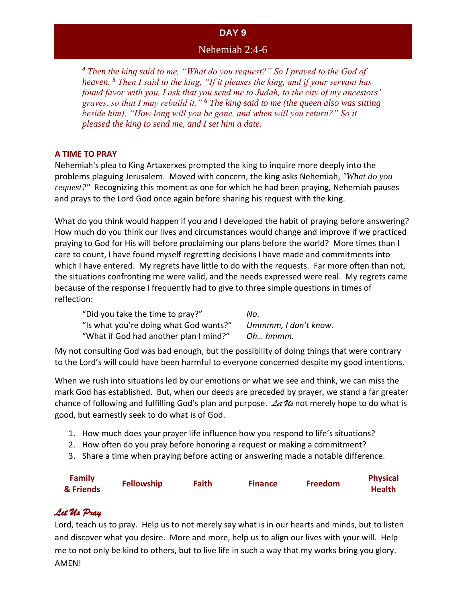### Nehemiah 2:4-6

*<sup>4</sup> Then the king said to me, "What do you request?" So I prayed to the God of heaven. <sup>5</sup> Then I said to the king, "If it pleases the king, and if your servant has found favor with you, I ask that you send me to Judah, to the city of my ancestors' graves, so that I may rebuild it." <sup>6</sup> The king said to me (the queen also was sitting beside him), "How long will you be gone, and when will you return?" So it pleased the king to send me, and I set him a date.*

#### **A TIME TO PRAY**

Nehemiah's plea to King Artaxerxes prompted the king to inquire more deeply into the problems plaguing Jerusalem. Moved with concern, the king asks Nehemiah, *"What do you request?"* Recognizing this moment as one for which he had been praying, Nehemiah pauses and prays to the Lord God once again before sharing his request with the king.

What do you think would happen if you and I developed the habit of praying before answering? How much do you think our lives and circumstances would change and improve if we practiced praying to God for His will before proclaiming our plans before the world? More times than I care to count, I have found myself regretting decisions I have made and commitments into which I have entered. My regrets have little to do with the requests. Far more often than not, the situations confronting me were valid, and the needs expressed were real. My regrets came because of the response I frequently had to give to three simple questions in times of reflection:

"Did you take the time to pray?" *No*. "Is what you're doing what God wants?" *Ummmm, I don't know.* "What if God had another plan I mind?" *Oh… hmmm.* 

My not consulting God was bad enough, but the possibility of doing things that were contrary to the Lord's will could have been harmful to everyone concerned despite my good intentions.

When we rush into situations led by our emotions or what we see and think, we can miss the mark God has established. But, when our deeds are preceded by prayer, we stand a far greater chance of following and fulfilling God's plan and purpose. *Let Us* not merely hope to do what is good, but earnestly seek to do what is of God.

- 1. How much does your prayer life influence how you respond to life's situations?
- 2. How often do you pray before honoring a request or making a commitment?
- 3. Share a time when praying before acting or answering made a notable difference.

| <b>Family</b><br>& Friends | <b>Fellowship</b> | Faith | <b>Finance</b> | <b>Freedom</b> | <b>Physical</b><br><b>Health</b> |
|----------------------------|-------------------|-------|----------------|----------------|----------------------------------|
|                            |                   |       |                |                |                                  |

# *Let Us Pray*

Lord, teach us to pray. Help us to not merely say what is in our hearts and minds, but to listen and discover what you desire. More and more, help us to align our lives with your will. Help me to not only be kind to others, but to live life in such a way that my works bring you glory. AMEN!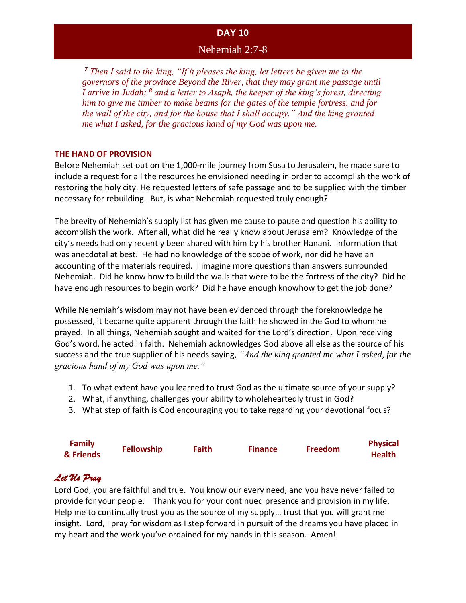### Nehemiah 2:7-8

*<sup>7</sup> Then I said to the king, "If it pleases the king, let letters be given me to the governors of the province Beyond the River, that they may grant me passage until I arrive in Judah; <sup>8</sup> and a letter to Asaph, the keeper of the king's forest, directing him to give me timber to make beams for the gates of the temple fortress, and for the wall of the city, and for the house that I shall occupy." And the king granted me what I asked, for the gracious hand of my God was upon me.*

#### **THE HAND OF PROVISION**

Before Nehemiah set out on the 1,000-mile journey from Susa to Jerusalem, he made sure to include a request for all the resources he envisioned needing in order to accomplish the work of restoring the holy city. He requested letters of safe passage and to be supplied with the timber necessary for rebuilding. But, is what Nehemiah requested truly enough?

The brevity of Nehemiah's supply list has given me cause to pause and question his ability to accomplish the work. After all, what did he really know about Jerusalem? Knowledge of the city's needs had only recently been shared with him by his brother Hanani. Information that was anecdotal at best. He had no knowledge of the scope of work, nor did he have an accounting of the materials required. I imagine more questions than answers surrounded Nehemiah. Did he know how to build the walls that were to be the fortress of the city? Did he have enough resources to begin work? Did he have enough knowhow to get the job done?

While Nehemiah's wisdom may not have been evidenced through the foreknowledge he possessed, it became quite apparent through the faith he showed in the God to whom he prayed. In all things, Nehemiah sought and waited for the Lord's direction. Upon receiving God's word, he acted in faith. Nehemiah acknowledges God above all else as the source of his success and the true supplier of his needs saying, *"And the king granted me what I asked, for the gracious hand of my God was upon me."*

- 1. To what extent have you learned to trust God as the ultimate source of your supply?
- 2. What, if anything, challenges your ability to wholeheartedly trust in God?
- 3. What step of faith is God encouraging you to take regarding your devotional focus?

| <b>Family</b> | <b>Fellowship</b> | Faith | <b>Finance</b> | <b>Freedom</b> | <b>Physical</b> |
|---------------|-------------------|-------|----------------|----------------|-----------------|
| & Friends     |                   |       |                |                | <b>Health</b>   |

# *Let Us Pray*

Lord God, you are faithful and true. You know our every need, and you have never failed to provide for your people. Thank you for your continued presence and provision in my life. Help me to continually trust you as the source of my supply… trust that you will grant me insight. Lord, I pray for wisdom as I step forward in pursuit of the dreams you have placed in my heart and the work you've ordained for my hands in this season. Amen!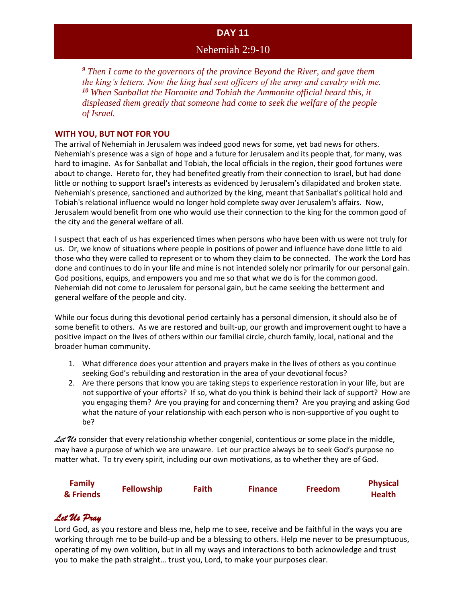### Nehemiah 2:9-10

*<sup>9</sup> Then I came to the governors of the province Beyond the River, and gave them the king's letters. Now the king had sent officers of the army and cavalry with me. <sup>10</sup> When Sanballat the Horonite and Tobiah the Ammonite official heard this, it displeased them greatly that someone had come to seek the welfare of the people of Israel.*

#### **WITH YOU, BUT NOT FOR YOU**

The arrival of Nehemiah in Jerusalem was indeed good news for some, yet bad news for others. Nehemiah's presence was a sign of hope and a future for Jerusalem and its people that, for many, was hard to imagine. As for Sanballat and Tobiah, the local officials in the region, their good fortunes were about to change. Hereto for, they had benefited greatly from their connection to Israel, but had done little or nothing to support Israel's interests as evidenced by Jerusalem's dilapidated and broken state. Nehemiah's presence, sanctioned and authorized by the king, meant that Sanballat's political hold and Tobiah's relational influence would no longer hold complete sway over Jerusalem's affairs. Now, Jerusalem would benefit from one who would use their connection to the king for the common good of the city and the general welfare of all.

I suspect that each of us has experienced times when persons who have been with us were not truly for us. Or, we know of situations where people in positions of power and influence have done little to aid those who they were called to represent or to whom they claim to be connected. The work the Lord has done and continues to do in your life and mine is not intended solely nor primarily for our personal gain. God positions, equips, and empowers you and me so that what we do is for the common good. Nehemiah did not come to Jerusalem for personal gain, but he came seeking the betterment and general welfare of the people and city.

While our focus during this devotional period certainly has a personal dimension, it should also be of some benefit to others. As we are restored and built-up, our growth and improvement ought to have a positive impact on the lives of others within our familial circle, church family, local, national and the broader human community.

- 1. What difference does your attention and prayers make in the lives of others as you continue seeking God's rebuilding and restoration in the area of your devotional focus?
- 2. Are there persons that know you are taking steps to experience restoration in your life, but are not supportive of your efforts? If so, what do you think is behind their lack of support? How are you engaging them? Are you praying for and concerning them? Are you praying and asking God what the nature of your relationship with each person who is non-supportive of you ought to be?

Let Us consider that every relationship whether congenial, contentious or some place in the middle, may have a purpose of which we are unaware. Let our practice always be to seek God's purpose no matter what. To try every spirit, including our own motivations, as to whether they are of God.

| <b>Family</b> | <b>Fellowship</b> | Faith | <b>Finance</b> | <b>Freedom</b> | <b>Physical</b> |
|---------------|-------------------|-------|----------------|----------------|-----------------|
| & Friends     |                   |       |                |                | <b>Health</b>   |

# *Let Us Pray*

Lord God, as you restore and bless me, help me to see, receive and be faithful in the ways you are working through me to be build-up and be a blessing to others. Help me never to be presumptuous, operating of my own volition, but in all my ways and interactions to both acknowledge and trust you to make the path straight… trust you, Lord, to make your purposes clear.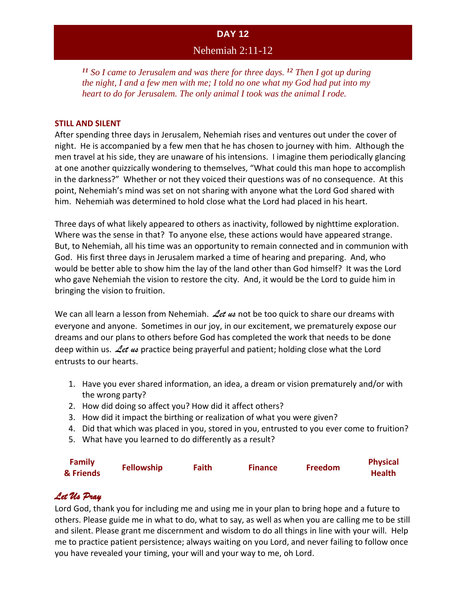### Nehemiah 2:11-12

*<sup>11</sup> So I came to Jerusalem and was there for three days. <sup>12</sup> Then I got up during the night, I and a few men with me; I told no one what my God had put into my heart to do for Jerusalem. The only animal I took was the animal I rode.*

#### **STILL AND SILENT**

After spending three days in Jerusalem, Nehemiah rises and ventures out under the cover of night. He is accompanied by a few men that he has chosen to journey with him. Although the men travel at his side, they are unaware of his intensions. I imagine them periodically glancing at one another quizzically wondering to themselves, "What could this man hope to accomplish in the darkness?" Whether or not they voiced their questions was of no consequence. At this point, Nehemiah's mind was set on not sharing with anyone what the Lord God shared with him. Nehemiah was determined to hold close what the Lord had placed in his heart.

Three days of what likely appeared to others as inactivity, followed by nighttime exploration. Where was the sense in that? To anyone else, these actions would have appeared strange. But, to Nehemiah, all his time was an opportunity to remain connected and in communion with God. His first three days in Jerusalem marked a time of hearing and preparing. And, who would be better able to show him the lay of the land other than God himself? It was the Lord who gave Nehemiah the vision to restore the city. And, it would be the Lord to guide him in bringing the vision to fruition.

We can all learn a lesson from Nehemiah. Let us not be too quick to share our dreams with everyone and anyone. Sometimes in our joy, in our excitement, we prematurely expose our dreams and our plans to others before God has completed the work that needs to be done deep within us. *Let us* practice being prayerful and patient; holding close what the Lord entrusts to our hearts.

- 1. Have you ever shared information, an idea, a dream or vision prematurely and/or with the wrong party?
- 2. How did doing so affect you? How did it affect others?
- 3. How did it impact the birthing or realization of what you were given?
- 4. Did that which was placed in you, stored in you, entrusted to you ever come to fruition?
- 5. What have you learned to do differently as a result?

| <b>Family</b> | <b>Fellowship</b> | <b>Faith</b> | <b>Finance</b> | Freedom | <b>Physical</b> |
|---------------|-------------------|--------------|----------------|---------|-----------------|
| & Friends     |                   |              |                |         | <b>Health</b>   |

### *Let Us Pray*

Lord God, thank you for including me and using me in your plan to bring hope and a future to others. Please guide me in what to do, what to say, as well as when you are calling me to be still and silent. Please grant me discernment and wisdom to do all things in line with your will. Help me to practice patient persistence; always waiting on you Lord, and never failing to follow once you have revealed your timing, your will and your way to me, oh Lord.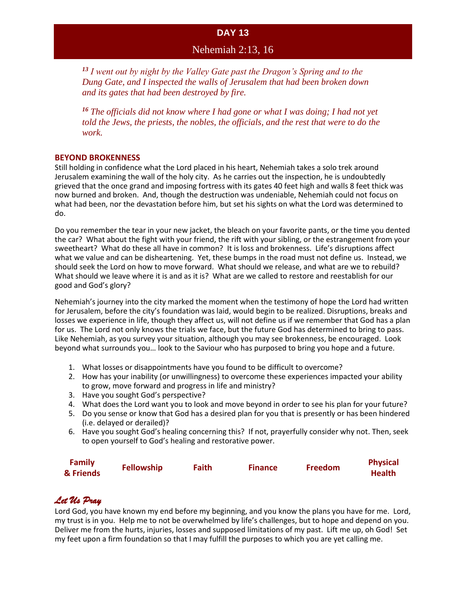### Nehemiah 2:13, 16

*<sup>13</sup> I went out by night by the Valley Gate past the Dragon's Spring and to the Dung Gate, and I inspected the walls of Jerusalem that had been broken down and its gates that had been destroyed by fire.* 

*<sup>16</sup> The officials did not know where I had gone or what I was doing; I had not yet told the Jews, the priests, the nobles, the officials, and the rest that were to do the work.*

#### **BEYOND BROKENNESS**

Still holding in confidence what the Lord placed in his heart, Nehemiah takes a solo trek around Jerusalem examining the wall of the holy city. As he carries out the inspection, he is undoubtedly grieved that the once grand and imposing fortress with its gates 40 feet high and walls 8 feet thick was now burned and broken. And, though the destruction was undeniable, Nehemiah could not focus on what had been, nor the devastation before him, but set his sights on what the Lord was determined to do.

Do you remember the tear in your new jacket, the bleach on your favorite pants, or the time you dented the car? What about the fight with your friend, the rift with your sibling, or the estrangement from your sweetheart? What do these all have in common? It is loss and brokenness. Life's disruptions affect what we value and can be disheartening. Yet, these bumps in the road must not define us. Instead, we should seek the Lord on how to move forward. What should we release, and what are we to rebuild? What should we leave where it is and as it is? What are we called to restore and reestablish for our good and God's glory?

Nehemiah's journey into the city marked the moment when the testimony of hope the Lord had written for Jerusalem, before the city's foundation was laid, would begin to be realized. Disruptions, breaks and losses we experience in life, though they affect us, will not define us if we remember that God has a plan for us. The Lord not only knows the trials we face, but the future God has determined to bring to pass. Like Nehemiah, as you survey your situation, although you may see brokenness, be encouraged. Look beyond what surrounds you… look to the Saviour who has purposed to bring you hope and a future.

- 1. What losses or disappointments have you found to be difficult to overcome?
- 2. How has your inability (or unwillingness) to overcome these experiences impacted your ability to grow, move forward and progress in life and ministry?
- 3. Have you sought God's perspective?
- 4. What does the Lord want you to look and move beyond in order to see his plan for your future?
- 5. Do you sense or know that God has a desired plan for you that is presently or has been hindered (i.e. delayed or derailed)?
- 6. Have you sought God's healing concerning this? If not, prayerfully consider why not. Then, seek to open yourself to God's healing and restorative power.

| <b>Family</b> | <b>Fellowship</b> | Faith | <b>Finance</b> | <b>Freedom</b> | <b>Physical</b> |
|---------------|-------------------|-------|----------------|----------------|-----------------|
| & Friends     |                   |       |                |                | <b>Health</b>   |

# *Let Us Pray*

Lord God, you have known my end before my beginning, and you know the plans you have for me. Lord, my trust is in you. Help me to not be overwhelmed by life's challenges, but to hope and depend on you. Deliver me from the hurts, injuries, losses and supposed limitations of my past. Lift me up, oh God! Set my feet upon a firm foundation so that I may fulfill the purposes to which you are yet calling me.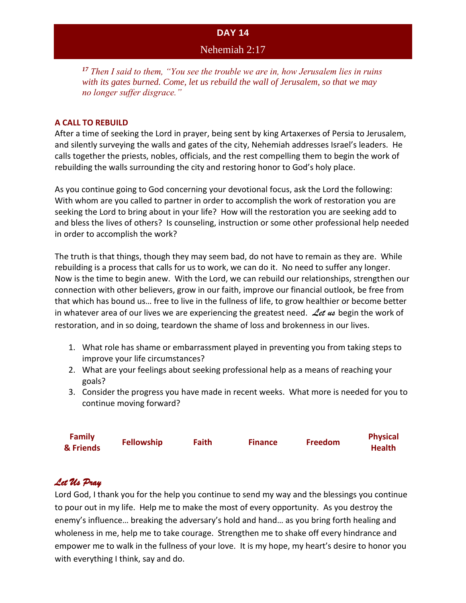### Nehemiah 2:17

*<sup>17</sup> Then I said to them, "You see the trouble we are in, how Jerusalem lies in ruins with its gates burned. Come, let us rebuild the wall of Jerusalem, so that we may no longer suffer disgrace."* 

#### **A CALL TO REBUILD**

After a time of seeking the Lord in prayer, being sent by king Artaxerxes of Persia to Jerusalem, and silently surveying the walls and gates of the city, Nehemiah addresses Israel's leaders. He calls together the priests, nobles, officials, and the rest compelling them to begin the work of rebuilding the walls surrounding the city and restoring honor to God's holy place.

As you continue going to God concerning your devotional focus, ask the Lord the following: With whom are you called to partner in order to accomplish the work of restoration you are seeking the Lord to bring about in your life? How will the restoration you are seeking add to and bless the lives of others? Is counseling, instruction or some other professional help needed in order to accomplish the work?

The truth is that things, though they may seem bad, do not have to remain as they are. While rebuilding is a process that calls for us to work, we can do it. No need to suffer any longer. Now is the time to begin anew. With the Lord, we can rebuild our relationships, strengthen our connection with other believers, grow in our faith, improve our financial outlook, be free from that which has bound us… free to live in the fullness of life, to grow healthier or become better in whatever area of our lives we are experiencing the greatest need. *Let us* begin the work of restoration, and in so doing, teardown the shame of loss and brokenness in our lives.

- 1. What role has shame or embarrassment played in preventing you from taking steps to improve your life circumstances?
- 2. What are your feelings about seeking professional help as a means of reaching your goals?
- 3. Consider the progress you have made in recent weeks. What more is needed for you to continue moving forward?

| <b>Family</b><br>& Friends | <b>Fellowship</b> | <b>Faith</b> | <b>Finance</b> | Freedom | <b>Physical</b><br><b>Health</b> |
|----------------------------|-------------------|--------------|----------------|---------|----------------------------------|
|                            |                   |              |                |         |                                  |

# *Let Us Pray*

Lord God, I thank you for the help you continue to send my way and the blessings you continue to pour out in my life. Help me to make the most of every opportunity. As you destroy the enemy's influence… breaking the adversary's hold and hand… as you bring forth healing and wholeness in me, help me to take courage. Strengthen me to shake off every hindrance and empower me to walk in the fullness of your love. It is my hope, my heart's desire to honor you with everything I think, say and do.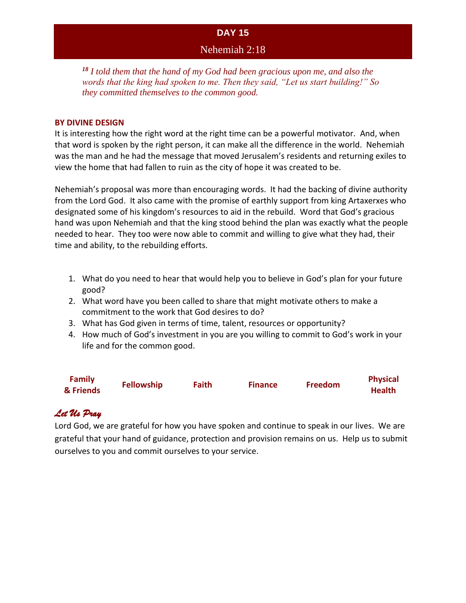### Nehemiah 2:18

*<sup>18</sup> I told them that the hand of my God had been gracious upon me, and also the words that the king had spoken to me. Then they said, "Let us start building!" So they committed themselves to the common good.*

#### **BY DIVINE DESIGN**

It is interesting how the right word at the right time can be a powerful motivator. And, when that word is spoken by the right person, it can make all the difference in the world. Nehemiah was the man and he had the message that moved Jerusalem's residents and returning exiles to view the home that had fallen to ruin as the city of hope it was created to be.

Nehemiah's proposal was more than encouraging words. It had the backing of divine authority from the Lord God. It also came with the promise of earthly support from king Artaxerxes who designated some of his kingdom's resources to aid in the rebuild. Word that God's gracious hand was upon Nehemiah and that the king stood behind the plan was exactly what the people needed to hear. They too were now able to commit and willing to give what they had, their time and ability, to the rebuilding efforts.

- 1. What do you need to hear that would help you to believe in God's plan for your future good?
- 2. What word have you been called to share that might motivate others to make a commitment to the work that God desires to do?
- 3. What has God given in terms of time, talent, resources or opportunity?
- 4. How much of God's investment in you are you willing to commit to God's work in your life and for the common good.

| <b>Family</b><br>& Friends | <b>Fellowship</b> | <b>Faith</b> | <b>Finance</b> | <b>Freedom</b> | <b>Physical</b><br><b>Health</b> |
|----------------------------|-------------------|--------------|----------------|----------------|----------------------------------|
|                            |                   |              |                |                |                                  |

# *Let Us Pray*

Lord God, we are grateful for how you have spoken and continue to speak in our lives. We are grateful that your hand of guidance, protection and provision remains on us. Help us to submit ourselves to you and commit ourselves to your service.